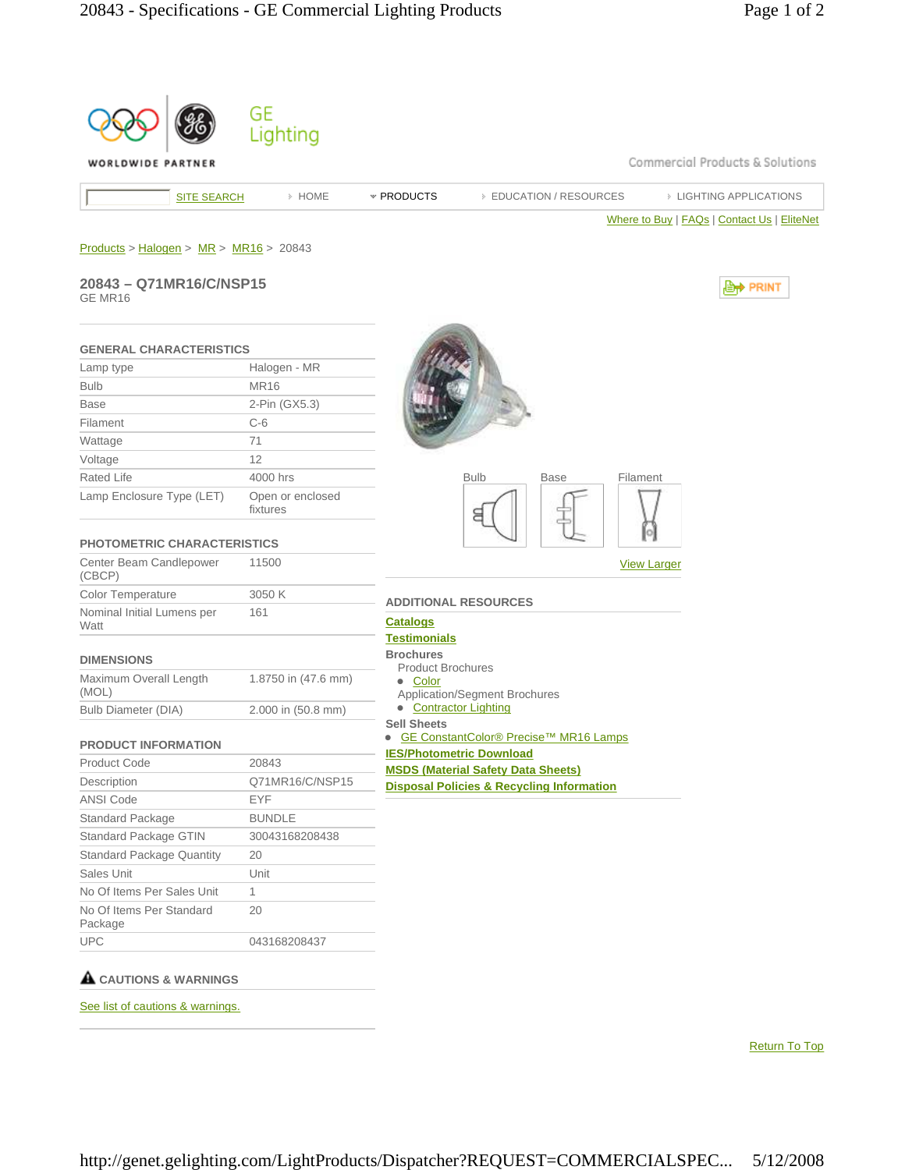| WORLDWIDE PARTNER                        |                              | Commercial Products & Solutions                                            |
|------------------------------------------|------------------------------|----------------------------------------------------------------------------|
| <b>SITE SEARCH</b>                       | > HOME                       | * PRODUCTS<br><b>EIGHTING APPLICATIONS</b><br><b>EDUCATION / RESOURCES</b> |
|                                          |                              | Where to Buy   FAQs   Contact Us   EliteNet                                |
|                                          |                              |                                                                            |
| $Products > Halogen > MR > MR16 > 20843$ |                              |                                                                            |
| 20843 - Q71MR16/C/NSP15<br>GE MR16       |                              | <b><u> ⊜</u>† PRINT</b>                                                    |
| <b>GENERAL CHARACTERISTICS</b>           |                              |                                                                            |
| Lamp type                                | Halogen - MR                 |                                                                            |
| <b>Bulb</b>                              | <b>MR16</b>                  |                                                                            |
| <b>Base</b>                              | 2-Pin (GX5.3)                |                                                                            |
| Filament                                 | $C-6$                        |                                                                            |
| Wattage                                  | 71                           |                                                                            |
| Voltage                                  | 12                           |                                                                            |
| <b>Rated Life</b>                        | 4000 hrs                     | <b>Bulb</b><br><b>Base</b><br>Filament                                     |
| Lamp Enclosure Type (LET)                | Open or enclosed<br>fixtures |                                                                            |
| <b>PHOTOMETRIC CHARACTERISTICS</b>       |                              |                                                                            |
| Center Beam Candlepower<br>(CBCP)        | 11500                        | <b>View Larger</b>                                                         |
| Color Temperature                        | 3050 K                       | <b>ADDITIONAL RESOURCES</b>                                                |
| Nominal Initial Lumens per<br>Watt       | 161                          | <u>Catalogs</u><br><b>Testimonials</b>                                     |
| <b>DIMENSIONS</b>                        |                              | <b>Brochures</b>                                                           |
| Maximum Overall Length                   | 1.8750 in (47.6 mm)          | <b>Product Brochures</b><br>• Color                                        |
| (MOL)                                    |                              | <b>Application/Segment Brochures</b>                                       |
| <b>Bulb Diameter (DIA)</b>               | 2.000 in (50.8 mm)           | • Contractor Lighting<br><b>Sell Sheets</b>                                |
| <b>PRODUCT INFORMATION</b>               |                              | ● GE ConstantColor® Precise™ MR16 Lamps                                    |
| Product Code                             | 20843                        | <b>IES/Photometric Download</b>                                            |
| Description                              | Q71MR16/C/NSP15              | <b>MSDS (Material Safety Data Sheets)</b>                                  |
| ANSI Code                                | EYF                          | <b>Disposal Policies &amp; Recycling Information</b>                       |
| Standard Package                         | <b>BUNDLE</b>                |                                                                            |
| Standard Package GTIN                    | 30043168208438               |                                                                            |
| <b>Standard Package Quantity</b>         | 20                           |                                                                            |
| Sales Unit                               | Unit                         |                                                                            |
| No Of Items Per Sales Unit               | 1                            |                                                                            |
| No Of Items Per Standard                 | 20                           |                                                                            |
| Package                                  |                              |                                                                            |

See list of cautions & warnings.

Return To Top